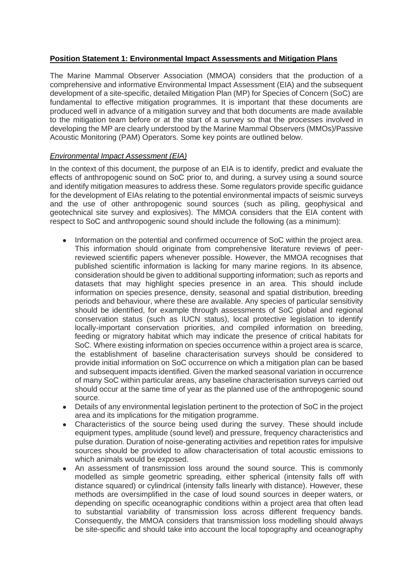## **Position Statement 1: Environmental Impact Assessments and Mitigation Plans**

The Marine Mammal Observer Association (MMOA) considers that the production of a comprehensive and informative Environmental Impact Assessment (EIA) and the subsequent development of a site-specific, detailed Mitigation Plan (MP) for Species of Concern (SoC) are fundamental to effective mitigation programmes. It is important that these documents are produced well in advance of a mitigation survey and that both documents are made available to the mitigation team before or at the start of a survey so that the processes involved in developing the MP are clearly understood by the Marine Mammal Observers (MMOs)/Passive Acoustic Monitoring (PAM) Operators. Some key points are outlined below.

# *Environmental Impact Assessment (EIA)*

In the context of this document, the purpose of an EIA is to identify, predict and evaluate the effects of anthropogenic sound on SoC prior to, and during, a survey using a sound source and identify mitigation measures to address these. Some regulators provide specific guidance for the development of EIAs relating to the potential environmental impacts of seismic surveys and the use of other anthropogenic sound sources (such as piling, geophysical and geotechnical site survey and explosives). The MMOA considers that the EIA content with respect to SoC and anthropogenic sound should include the following (as a minimum):

- Information on the potential and confirmed occurrence of SoC within the project area. This information should originate from comprehensive literature reviews of peerreviewed scientific papers whenever possible. However, the MMOA recognises that published scientific information is lacking for many marine regions. In its absence, consideration should be given to additional supporting information; such as reports and datasets that may highlight species presence in an area. This should include information on species presence, density, seasonal and spatial distribution, breeding periods and behaviour, where these are available. Any species of particular sensitivity should be identified, for example through assessments of SoC global and regional conservation status (such as IUCN status), local protective legislation to identify locally-important conservation priorities, and compiled information on breeding, feeding or migratory habitat which may indicate the presence of critical habitats for SoC. Where existing information on species occurrence within a project area is scarce, the establishment of baseline characterisation surveys should be considered to provide initial information on SoC occurrence on which a mitigation plan can be based and subsequent impacts identified. Given the marked seasonal variation in occurrence of many SoC within particular areas, any baseline characterisation surveys carried out should occur at the same time of year as the planned use of the anthropogenic sound source.
- Details of any environmental legislation pertinent to the protection of SoC in the project area and its implications for the mitigation programme.
- Characteristics of the source being used during the survey. These should include equipment types, amplitude (sound level) and pressure, frequency characteristics and pulse duration. Duration of noise-generating activities and repetition rates for impulsive sources should be provided to allow characterisation of total acoustic emissions to which animals would be exposed.
- An assessment of transmission loss around the sound source. This is commonly modelled as simple geometric spreading, either spherical (intensity falls off with distance squared) or cylindrical (intensity falls linearly with distance). However, these methods are oversimplified in the case of loud sound sources in deeper waters, or depending on specific oceanographic conditions within a project area that often lead to substantial variability of transmission loss across different frequency bands. Consequently, the MMOA considers that transmission loss modelling should always be site-specific and should take into account the local topography and oceanography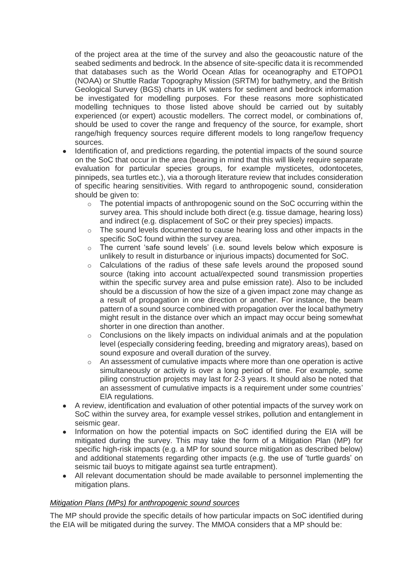of the project area at the time of the survey and also the geoacoustic nature of the seabed sediments and bedrock. In the absence of site-specific data it is recommended that databases such as the World Ocean Atlas for oceanography and ETOPO1 (NOAA) or Shuttle Radar Topography Mission (SRTM) for bathymetry, and the British Geological Survey (BGS) charts in UK waters for sediment and bedrock information be investigated for modelling purposes. For these reasons more sophisticated modelling techniques to those listed above should be carried out by suitably experienced (or expert) acoustic modellers. The correct model, or combinations of, should be used to cover the range and frequency of the source, for example, short range/high frequency sources require different models to long range/low frequency sources.

- Identification of, and predictions regarding, the potential impacts of the sound source on the SoC that occur in the area (bearing in mind that this will likely require separate evaluation for particular species groups, for example mysticetes, odontocetes, pinnipeds, sea turtles etc.), via a thorough literature review that includes consideration of specific hearing sensitivities. With regard to anthropogenic sound, consideration should be given to:
	- $\circ$  The potential impacts of anthropogenic sound on the SoC occurring within the survey area. This should include both direct (e.g. tissue damage, hearing loss) and indirect (e.g. displacement of SoC or their prey species) impacts.
	- $\circ$  The sound levels documented to cause hearing loss and other impacts in the specific SoC found within the survey area.
	- o The current 'safe sound levels' (i.e. sound levels below which exposure is unlikely to result in disturbance or injurious impacts) documented for SoC.
	- o Calculations of the radius of these safe levels around the proposed sound source (taking into account actual/expected sound transmission properties within the specific survey area and pulse emission rate). Also to be included should be a discussion of how the size of a given impact zone may change as a result of propagation in one direction or another. For instance, the beam pattern of a sound source combined with propagation over the local bathymetry might result in the distance over which an impact may occur being somewhat shorter in one direction than another.
	- o Conclusions on the likely impacts on individual animals and at the population level (especially considering feeding, breeding and migratory areas), based on sound exposure and overall duration of the survey.
	- o An assessment of cumulative impacts where more than one operation is active simultaneously or activity is over a long period of time. For example, some piling construction projects may last for 2-3 years. It should also be noted that an assessment of cumulative impacts is a requirement under some countries' EIA regulations.
- A review, identification and evaluation of other potential impacts of the survey work on SoC within the survey area, for example vessel strikes, pollution and entanglement in seismic gear.
- Information on how the potential impacts on SoC identified during the EIA will be mitigated during the survey. This may take the form of a Mitigation Plan (MP) for specific high-risk impacts (e.g. a MP for sound source mitigation as described below) and additional statements regarding other impacts (e.g. the use of 'turtle guards' on seismic tail buoys to mitigate against sea turtle entrapment).
- All relevant documentation should be made available to personnel implementing the mitigation plans.

## *Mitigation Plans (MPs) for anthropogenic sound sources*

The MP should provide the specific details of how particular impacts on SoC identified during the EIA will be mitigated during the survey. The MMOA considers that a MP should be: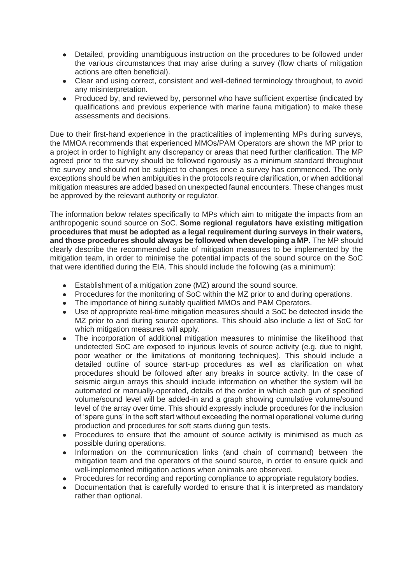- Detailed, providing unambiguous instruction on the procedures to be followed under the various circumstances that may arise during a survey (flow charts of mitigation actions are often beneficial).
- Clear and using correct, consistent and well-defined terminology throughout, to avoid any misinterpretation.
- Produced by, and reviewed by, personnel who have sufficient expertise (indicated by qualifications and previous experience with marine fauna mitigation) to make these assessments and decisions.

Due to their first-hand experience in the practicalities of implementing MPs during surveys, the MMOA recommends that experienced MMOs/PAM Operators are shown the MP prior to a project in order to highlight any discrepancy or areas that need further clarification. The MP agreed prior to the survey should be followed rigorously as a minimum standard throughout the survey and should not be subject to changes once a survey has commenced. The only exceptions should be when ambiguities in the protocols require clarification, or when additional mitigation measures are added based on unexpected faunal encounters. These changes must be approved by the relevant authority or regulator.

The information below relates specifically to MPs which aim to mitigate the impacts from an anthropogenic sound source on SoC. **Some regional regulators have existing mitigation procedures that must be adopted as a legal requirement during surveys in their waters, and those procedures should always be followed when developing a MP**. The MP should clearly describe the recommended suite of mitigation measures to be implemented by the mitigation team, in order to minimise the potential impacts of the sound source on the SoC that were identified during the EIA. This should include the following (as a minimum):

- Establishment of a mitigation zone (MZ) around the sound source.
- Procedures for the monitoring of SoC within the MZ prior to and during operations.
- The importance of hiring suitably qualified MMOs and PAM Operators.
- Use of appropriate real-time mitigation measures should a SoC be detected inside the MZ prior to and during source operations. This should also include a list of SoC for which mitigation measures will apply.
- The incorporation of additional mitigation measures to minimise the likelihood that undetected SoC are exposed to injurious levels of source activity (e.g. due to night, poor weather or the limitations of monitoring techniques). This should include a detailed outline of source start-up procedures as well as clarification on what procedures should be followed after any breaks in source activity. In the case of seismic airgun arrays this should include information on whether the system will be automated or manually-operated, details of the order in which each gun of specified volume/sound level will be added-in and a graph showing cumulative volume/sound level of the array over time. This should expressly include procedures for the inclusion of 'spare guns' in the soft start without exceeding the normal operational volume during production and procedures for soft starts during gun tests.
- Procedures to ensure that the amount of source activity is minimised as much as possible during operations.
- Information on the communication links (and chain of command) between the mitigation team and the operators of the sound source, in order to ensure quick and well-implemented mitigation actions when animals are observed.
- Procedures for recording and reporting compliance to appropriate regulatory bodies.
- Documentation that is carefully worded to ensure that it is interpreted as mandatory rather than optional.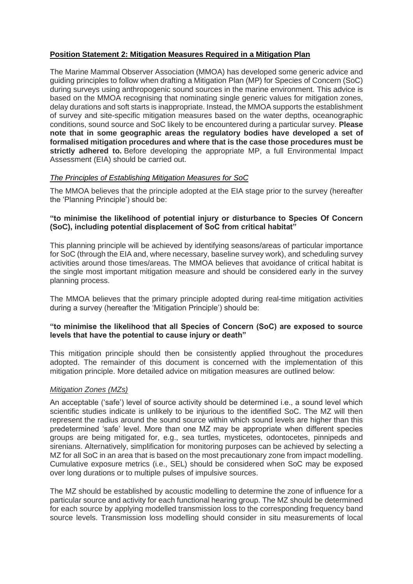# **Position Statement 2: Mitigation Measures Required in a Mitigation Plan**

The Marine Mammal Observer Association (MMOA) has developed some generic advice and guiding principles to follow when drafting a Mitigation Plan (MP) for Species of Concern (SoC) during surveys using anthropogenic sound sources in the marine environment. This advice is based on the MMOA recognising that nominating single generic values for mitigation zones, delay durations and soft starts is inappropriate. Instead, the MMOA supports the establishment of survey and site-specific mitigation measures based on the water depths, oceanographic conditions, sound source and SoC likely to be encountered during a particular survey. **Please note that in some geographic areas the regulatory bodies have developed a set of formalised mitigation procedures and where that is the case those procedures must be strictly adhered to.** Before developing the appropriate MP, a full Environmental Impact Assessment (EIA) should be carried out.

## *The Principles of Establishing Mitigation Measures for SoC*

The MMOA believes that the principle adopted at the EIA stage prior to the survey (hereafter the 'Planning Principle') should be:

## **"to minimise the likelihood of potential injury or disturbance to Species Of Concern (SoC), including potential displacement of SoC from critical habitat"**

This planning principle will be achieved by identifying seasons/areas of particular importance for SoC (through the EIA and, where necessary, baseline survey work), and scheduling survey activities around those times/areas. The MMOA believes that avoidance of critical habitat is the single most important mitigation measure and should be considered early in the survey planning process.

The MMOA believes that the primary principle adopted during real-time mitigation activities during a survey (hereafter the 'Mitigation Principle') should be:

## **"to minimise the likelihood that all Species of Concern (SoC) are exposed to source levels that have the potential to cause injury or death"**

This mitigation principle should then be consistently applied throughout the procedures adopted. The remainder of this document is concerned with the implementation of this mitigation principle. More detailed advice on mitigation measures are outlined below:

## *Mitigation Zones (MZs)*

An acceptable ('safe') level of source activity should be determined i.e., a sound level which scientific studies indicate is unlikely to be injurious to the identified SoC. The MZ will then represent the radius around the sound source within which sound levels are higher than this predetermined 'safe' level. More than one MZ may be appropriate when different species groups are being mitigated for, e.g., sea turtles, mysticetes, odontocetes, pinnipeds and sirenians. Alternatively, simplification for monitoring purposes can be achieved by selecting a MZ for all SoC in an area that is based on the most precautionary zone from impact modelling. Cumulative exposure metrics (i.e., SEL) should be considered when SoC may be exposed over long durations or to multiple pulses of impulsive sources.

The MZ should be established by acoustic modelling to determine the zone of influence for a particular source and activity for each functional hearing group. The MZ should be determined for each source by applying modelled transmission loss to the corresponding frequency band source levels. Transmission loss modelling should consider in situ measurements of local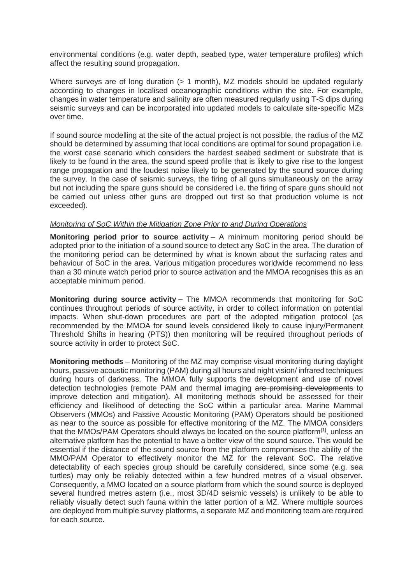environmental conditions (e.g. water depth, seabed type, water temperature profiles) which affect the resulting sound propagation.

Where surveys are of long duration (> 1 month), MZ models should be updated regularly according to changes in localised oceanographic conditions within the site. For example, changes in water temperature and salinity are often measured regularly using T-S dips during seismic surveys and can be incorporated into updated models to calculate site-specific MZs over time.

If sound source modelling at the site of the actual project is not possible, the radius of the MZ should be determined by assuming that local conditions are optimal for sound propagation i.e. the worst case scenario which considers the hardest seabed sediment or substrate that is likely to be found in the area, the sound speed profile that is likely to give rise to the longest range propagation and the loudest noise likely to be generated by the sound source during the survey. In the case of seismic surveys, the firing of all guns simultaneously on the array but not including the spare guns should be considered i.e. the firing of spare guns should not be carried out unless other guns are dropped out first so that production volume is not exceeded).

#### *Monitoring of SoC Within the Mitigation Zone Prior to and During Operations*

**Monitoring period prior to source activity** – A minimum monitoring period should be adopted prior to the initiation of a sound source to detect any SoC in the area. The duration of the monitoring period can be determined by what is known about the surfacing rates and behaviour of SoC in the area. Various mitigation procedures worldwide recommend no less than a 30 minute watch period prior to source activation and the MMOA recognises this as an acceptable minimum period.

**Monitoring during source activity** – The MMOA recommends that monitoring for SoC continues throughout periods of source activity, in order to collect information on potential impacts. When shut-down procedures are part of the adopted mitigation protocol (as recommended by the MMOA for sound levels considered likely to cause injury/Permanent Threshold Shifts in hearing (PTS)) then monitoring will be required throughout periods of source activity in order to protect SoC.

**Monitoring methods** – Monitoring of the MZ may comprise visual monitoring during daylight hours, passive acoustic monitoring (PAM) during all hours and night vision/ infrared techniques during hours of darkness. The MMOA fully supports the development and use of novel detection technologies (remote PAM and thermal imaging are promising developments to improve detection and mitigation). All monitoring methods should be assessed for their efficiency and likelihood of detecting the SoC within a particular area. Marine Mammal Observers (MMOs) and Passive Acoustic Monitoring (PAM) Operators should be positioned as near to the source as possible for effective monitoring of the MZ. The MMOA considers that the MMOs/PAM Operators should always be located on the source platform $^{[1]}$ , unless an alternative platform has the potential to have a better view of the sound source. This would be essential if the distance of the sound source from the platform compromises the ability of the MMO/PAM Operator to effectively monitor the MZ for the relevant SoC. The relative detectability of each species group should be carefully considered, since some (e.g. sea turtles) may only be reliably detected within a few hundred metres of a visual observer. Consequently, a MMO located on a source platform from which the sound source is deployed several hundred metres astern (i.e., most 3D/4D seismic vessels) is unlikely to be able to reliably visually detect such fauna within the latter portion of a MZ. Where multiple sources are deployed from multiple survey platforms, a separate MZ and monitoring team are required for each source.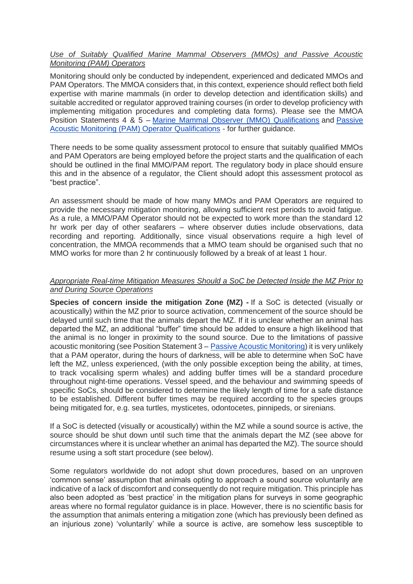## *Use of Suitably Qualified Marine Mammal Observers (MMOs) and Passive Acoustic Monitoring (PAM) Operators*

Monitoring should only be conducted by independent, experienced and dedicated MMOs and PAM Operators. The MMOA considers that, in this context, experience should reflect both field expertise with marine mammals (in order to develop detection and identification skills) and suitable accredited or regulator approved training courses (in order to develop proficiency with implementing mitigation procedures and completing data forms). Please see the MMOA Position Statements 4 & 5 – [Marine Mammal Observer \(MMO\) Qualifications](https://www.mmo-association.org/component/content/article/3-news-room/112-marine-mammal-observer-mmo-qualifications?Itemid=728) and [Passive](https://www.mmo-association.org/component/content/article/3-news-room/113-passive-acoustic-monitoring-pam-operator-qualifications?Itemid=728)  [Acoustic Monitoring \(PAM\) Operator Qualifications](https://www.mmo-association.org/component/content/article/3-news-room/113-passive-acoustic-monitoring-pam-operator-qualifications?Itemid=728) - for further guidance.

There needs to be some quality assessment protocol to ensure that suitably qualified MMOs and PAM Operators are being employed before the project starts and the qualification of each should be outlined in the final MMO/PAM report. The regulatory body in place should ensure this and in the absence of a regulator, the Client should adopt this assessment protocol as "best practice".

An assessment should be made of how many MMOs and PAM Operators are required to provide the necessary mitigation monitoring, allowing sufficient rest periods to avoid fatigue. As a rule, a MMO/PAM Operator should not be expected to work more than the standard 12 hr work per day of other seafarers – where observer duties include observations, data recording and reporting. Additionally, since visual observations require a high level of concentration, the MMOA recommends that a MMO team should be organised such that no MMO works for more than 2 hr continuously followed by a break of at least 1 hour.

## *Appropriate Real-time Mitigation Measures Should a SoC be Detected Inside the MZ Prior to and During Source Operations*

**Species of concern inside the mitigation Zone (MZ) -** If a SoC is detected (visually or acoustically) within the MZ prior to source activation, commencement of the source should be delayed until such time that the animals depart the MZ. If it is unclear whether an animal has departed the MZ, an additional "buffer" time should be added to ensure a high likelihood that the animal is no longer in proximity to the sound source. Due to the limitations of passive acoustic monitoring (see Position Statement 3 [–](https://www.mmo-association.org/information-directory-members/passive-acoustic-monitoring) [Passive Acoustic Monitoring\)](https://www.mmo-association.org/information-directory-members/passive-acoustic-monitoring) it is very unlikely that a PAM operator, during the hours of darkness, will be able to determine when SoC have left the MZ, unless experienced, (with the only possible exception being the ability, at times, to track vocalising sperm whales) and adding buffer times will be a standard procedure throughout night-time operations. Vessel speed, and the behaviour and swimming speeds of specific SoCs, should be considered to determine the likely length of time for a safe distance to be established. Different buffer times may be required according to the species groups being mitigated for, e.g. sea turtles, mysticetes, odontocetes, pinnipeds, or sirenians.

If a SoC is detected (visually or acoustically) within the MZ while a sound source is active, the source should be shut down until such time that the animals depart the MZ (see above for circumstances where it is unclear whether an animal has departed the MZ). The source should resume using a soft start procedure (see below).

Some regulators worldwide do not adopt shut down procedures, based on an unproven 'common sense' assumption that animals opting to approach a sound source voluntarily are indicative of a lack of discomfort and consequently do not require mitigation. This principle has also been adopted as 'best practice' in the mitigation plans for surveys in some geographic areas where no formal regulator guidance is in place. However, there is no scientific basis for the assumption that animals entering a mitigation zone (which has previously been defined as an injurious zone) 'voluntarily' while a source is active, are somehow less susceptible to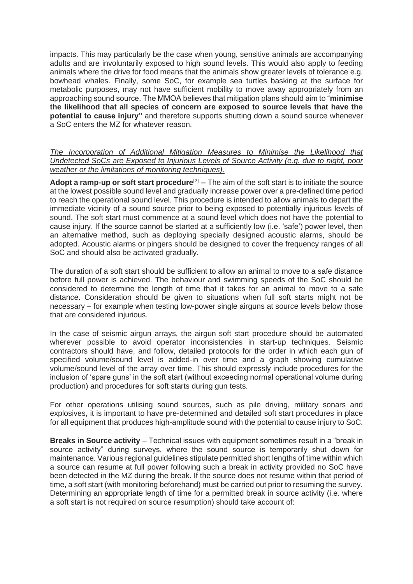impacts. This may particularly be the case when young, sensitive animals are accompanying adults and are involuntarily exposed to high sound levels. This would also apply to feeding animals where the drive for food means that the animals show greater levels of tolerance e.g. bowhead whales. Finally, some SoC, for example sea turtles basking at the surface for metabolic purposes, may not have sufficient mobility to move away appropriately from an approaching sound source. The MMOA believes that mitigation plans should aim to "**minimise the likelihood that all species of concern are exposed to source levels that have the potential to cause injury"** and therefore supports shutting down a sound source whenever a SoC enters the MZ for whatever reason.

#### *The Incorporation of Additional Mitigation Measures to Minimise the Likelihood that Undetected SoCs are Exposed to Injurious Levels of Source Activity (e.g. due to night, poor weather or the limitations of monitoring techniques).*

**Adopt a ramp-up or soft start procedure<sup>[2]</sup> – The aim of the soft start is to initiate the source** at the lowest possible sound level and gradually increase power over a pre-defined time period to reach the operational sound level. This procedure is intended to allow animals to depart the immediate vicinity of a sound source prior to being exposed to potentially injurious levels of sound. The soft start must commence at a sound level which does not have the potential to cause injury. If the source cannot be started at a sufficiently low (i.e. 'safe') power level, then an alternative method, such as deploying specially designed acoustic alarms, should be adopted. Acoustic alarms or pingers should be designed to cover the frequency ranges of all SoC and should also be activated gradually.

The duration of a soft start should be sufficient to allow an animal to move to a safe distance before full power is achieved. The behaviour and swimming speeds of the SoC should be considered to determine the length of time that it takes for an animal to move to a safe distance. Consideration should be given to situations when full soft starts might not be necessary – for example when testing low-power single airguns at source levels below those that are considered injurious.

In the case of seismic airgun arrays, the airgun soft start procedure should be automated wherever possible to avoid operator inconsistencies in start-up techniques. Seismic contractors should have, and follow, detailed protocols for the order in which each gun of specified volume/sound level is added-in over time and a graph showing cumulative volume/sound level of the array over time. This should expressly include procedures for the inclusion of 'spare guns' in the soft start (without exceeding normal operational volume during production) and procedures for soft starts during gun tests.

For other operations utilising sound sources, such as pile driving, military sonars and explosives, it is important to have pre-determined and detailed soft start procedures in place for all equipment that produces high-amplitude sound with the potential to cause injury to SoC.

**Breaks in Source activity** – Technical issues with equipment sometimes result in a "break in source activity" during surveys, where the sound source is temporarily shut down for maintenance. Various regional guidelines stipulate permitted short lengths of time within which a source can resume at full power following such a break in activity provided no SoC have been detected in the MZ during the break. If the source does not resume within that period of time, a soft start (with monitoring beforehand) must be carried out prior to resuming the survey. Determining an appropriate length of time for a permitted break in source activity (i.e. where a soft start is not required on source resumption) should take account of: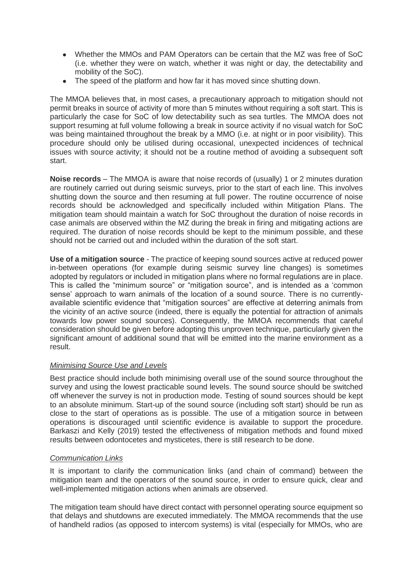- Whether the MMOs and PAM Operators can be certain that the MZ was free of SoC (i.e. whether they were on watch, whether it was night or day, the detectability and mobility of the SoC).
- The speed of the platform and how far it has moved since shutting down.

The MMOA believes that, in most cases, a precautionary approach to mitigation should not permit breaks in source of activity of more than 5 minutes without requiring a soft start. This is particularly the case for SoC of low detectability such as sea turtles. The MMOA does not support resuming at full volume following a break in source activity if no visual watch for SoC was being maintained throughout the break by a MMO (i.e. at night or in poor visibility). This procedure should only be utilised during occasional, unexpected incidences of technical issues with source activity; it should not be a routine method of avoiding a subsequent soft start.

**Noise records** – The MMOA is aware that noise records of (usually) 1 or 2 minutes duration are routinely carried out during seismic surveys, prior to the start of each line. This involves shutting down the source and then resuming at full power. The routine occurrence of noise records should be acknowledged and specifically included within Mitigation Plans. The mitigation team should maintain a watch for SoC throughout the duration of noise records in case animals are observed within the MZ during the break in firing and mitigating actions are required. The duration of noise records should be kept to the minimum possible, and these should not be carried out and included within the duration of the soft start.

**Use of a mitigation source** - The practice of keeping sound sources active at reduced power in-between operations (for example during seismic survey line changes) is sometimes adopted by regulators or included in mitigation plans where no formal regulations are in place. This is called the "minimum source" or "mitigation source", and is intended as a 'common sense' approach to warn animals of the location of a sound source. There is no currentlyavailable scientific evidence that "mitigation sources" are effective at deterring animals from the vicinity of an active source (indeed, there is equally the potential for attraction of animals towards low power sound sources). Consequently, the MMOA recommends that careful consideration should be given before adopting this unproven technique, particularly given the significant amount of additional sound that will be emitted into the marine environment as a result.

## *Minimising Source Use and Levels*

Best practice should include both minimising overall use of the sound source throughout the survey and using the lowest practicable sound levels. The sound source should be switched off whenever the survey is not in production mode. Testing of sound sources should be kept to an absolute minimum. Start-up of the sound source (including soft start) should be run as close to the start of operations as is possible. The use of a mitigation source in between operations is discouraged until scientific evidence is available to support the procedure. Barkaszi and Kelly (2019) tested the effectiveness of mitigation methods and found mixed results between odontocetes and mysticetes, there is still research to be done.

## *Communication Links*

It is important to clarify the communication links (and chain of command) between the mitigation team and the operators of the sound source, in order to ensure quick, clear and well-implemented mitigation actions when animals are observed.

The mitigation team should have direct contact with personnel operating source equipment so that delays and shutdowns are executed immediately. The MMOA recommends that the use of handheld radios (as opposed to intercom systems) is vital (especially for MMOs, who are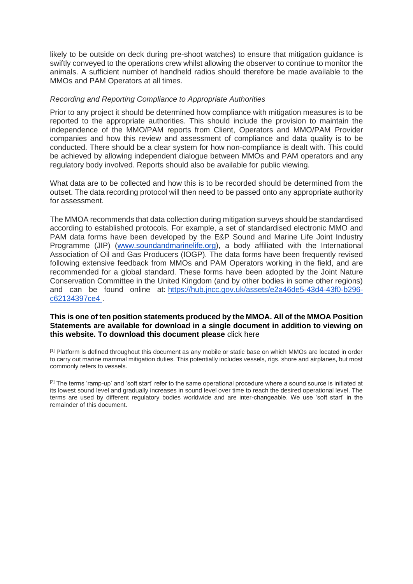likely to be outside on deck during pre-shoot watches) to ensure that mitigation guidance is swiftly conveyed to the operations crew whilst allowing the observer to continue to monitor the animals. A sufficient number of handheld radios should therefore be made available to the MMOs and PAM Operators at all times.

#### *Recording and Reporting Compliance to Appropriate Authorities*

Prior to any project it should be determined how compliance with mitigation measures is to be reported to the appropriate authorities. This should include the provision to maintain the independence of the MMO/PAM reports from Client, Operators and MMO/PAM Provider companies and how this review and assessment of compliance and data quality is to be conducted. There should be a clear system for how non-compliance is dealt with. This could be achieved by allowing independent dialogue between MMOs and PAM operators and any regulatory body involved. Reports should also be available for public viewing.

What data are to be collected and how this is to be recorded should be determined from the outset. The data recording protocol will then need to be passed onto any appropriate authority for assessment.

The MMOA recommends that data collection during mitigation surveys should be standardised according to established protocols. For example, a set of standardised electronic MMO and PAM data forms have been developed by the E&P Sound and Marine Life Joint Industry Programme (JIP) [\(www.soundandmarinelife.org\)](http://www.soundandmarinelife.org/), a body affiliated with the International Association of Oil and Gas Producers (IOGP). The data forms have been frequently revised following extensive feedback from MMOs and PAM Operators working in the field, and are recommended for a global standard. These forms have been adopted by the Joint Nature Conservation Committee in the United Kingdom (and by other bodies in some other regions) and can be found online at: [https://hub.jncc.gov.uk/assets/e2a46de5-43d4-43f0-b296](https://hub.jncc.gov.uk/assets/e2a46de5-43d4-43f0-b296-c62134397ce4) [c62134397ce4 .](https://hub.jncc.gov.uk/assets/e2a46de5-43d4-43f0-b296-c62134397ce4)

#### **This is one of ten position statements produced by the MMOA. All of the MMOA Position Statements are available for download in a single document in addition to viewing on this website. To download this document please** [click here](https://www.mmo-association.org/images/pdf/MMOA_Position_Statements__Version_2_Jan2016.pdf)

[1] Platform is defined throughout this document as any mobile or static base on which MMOs are located in order to carry out marine mammal mitigation duties. This potentially includes vessels, rigs, shore and airplanes, but most commonly refers to vessels.

 $[2]$  The terms 'ramp-up' and 'soft start' refer to the same operational procedure where a sound source is initiated at its lowest sound level and gradually increases in sound level over time to reach the desired operational level. The terms are used by different regulatory bodies worldwide and are inter-changeable. We use 'soft start' in the remainder of this document.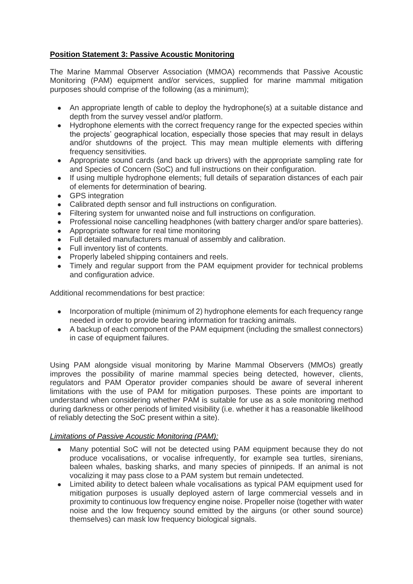# **Position Statement 3: Passive Acoustic Monitoring**

The Marine Mammal Observer Association (MMOA) recommends that Passive Acoustic Monitoring (PAM) equipment and/or services, supplied for marine mammal mitigation purposes should comprise of the following (as a minimum);

- An appropriate length of cable to deploy the hydrophone(s) at a suitable distance and depth from the survey vessel and/or platform.
- Hydrophone elements with the correct frequency range for the expected species within the projects' geographical location, especially those species that may result in delays and/or shutdowns of the project. This may mean multiple elements with differing frequency sensitivities.
- Appropriate sound cards (and back up drivers) with the appropriate sampling rate for and Species of Concern (SoC) and full instructions on their configuration.
- If using multiple hydrophone elements; full details of separation distances of each pair of elements for determination of bearing.
- GPS integration
- Calibrated depth sensor and full instructions on configuration.
- Filtering system for unwanted noise and full instructions on configuration.
- Professional noise cancelling headphones (with battery charger and/or spare batteries).
- Appropriate software for real time monitoring
- Full detailed manufacturers manual of assembly and calibration.
- Full inventory list of contents.
- Properly labeled shipping containers and reels.
- Timely and regular support from the PAM equipment provider for technical problems and configuration advice.

Additional recommendations for best practice:

- Incorporation of multiple (minimum of 2) hydrophone elements for each frequency range needed in order to provide bearing information for tracking animals.
- A backup of each component of the PAM equipment (including the smallest connectors) in case of equipment failures.

Using PAM alongside visual monitoring by Marine Mammal Observers (MMOs) greatly improves the possibility of marine mammal species being detected, however, clients, regulators and PAM Operator provider companies should be aware of several inherent limitations with the use of PAM for mitigation purposes. These points are important to understand when considering whether PAM is suitable for use as a sole monitoring method during darkness or other periods of limited visibility (i.e. whether it has a reasonable likelihood of reliably detecting the SoC present within a site).

## *Limitations of Passive Acoustic Monitoring (PAM):*

- Many potential SoC will not be detected using PAM equipment because they do not produce vocalisations, or vocalise infrequently, for example sea turtles, sirenians, baleen whales, basking sharks, and many species of pinnipeds. If an animal is not vocalizing it may pass close to a PAM system but remain undetected.
- Limited ability to detect baleen whale vocalisations as typical PAM equipment used for mitigation purposes is usually deployed astern of large commercial vessels and in proximity to continuous low frequency engine noise. Propeller noise (together with water noise and the low frequency sound emitted by the airguns (or other sound source) themselves) can mask low frequency biological signals.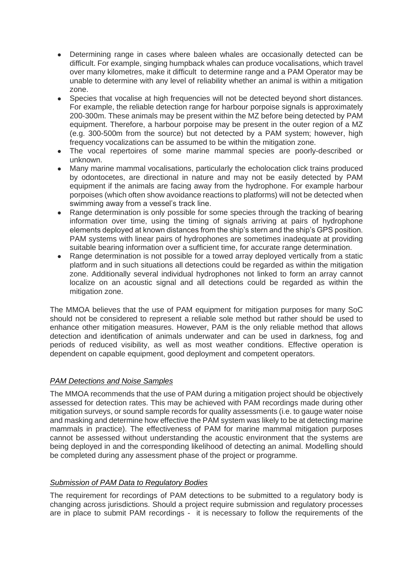- Determining range in cases where baleen whales are occasionally detected can be difficult. For example, singing humpback whales can produce vocalisations, which travel over many kilometres, make it difficult to determine range and a PAM Operator may be unable to determine with any level of reliability whether an animal is within a mitigation zone.
- Species that vocalise at high frequencies will not be detected beyond short distances. For example, the reliable detection range for harbour porpoise signals is approximately 200-300m. These animals may be present within the MZ before being detected by PAM equipment. Therefore, a harbour porpoise may be present in the outer region of a MZ (e.g. 300-500m from the source) but not detected by a PAM system; however, high frequency vocalizations can be assumed to be within the mitigation zone.
- The vocal repertoires of some marine mammal species are poorly-described or unknown.
- Many marine mammal vocalisations, particularly the echolocation click trains produced by odontocetes, are directional in nature and may not be easily detected by PAM equipment if the animals are facing away from the hydrophone. For example harbour porpoises (which often show avoidance reactions to platforms) will not be detected when swimming away from a vessel's track line.
- Range determination is only possible for some species through the tracking of bearing information over time, using the timing of signals arriving at pairs of hydrophone elements deployed at known distances from the ship's stern and the ship's GPS position. PAM systems with linear pairs of hydrophones are sometimes inadequate at providing suitable bearing information over a sufficient time, for accurate range determination.
- Range determination is not possible for a towed array deployed vertically from a static platform and in such situations all detections could be regarded as within the mitigation zone. Additionally several individual hydrophones not linked to form an array cannot localize on an acoustic signal and all detections could be regarded as within the mitigation zone.

The MMOA believes that the use of PAM equipment for mitigation purposes for many SoC should not be considered to represent a reliable sole method but rather should be used to enhance other mitigation measures. However, PAM is the only reliable method that allows detection and identification of animals underwater and can be used in darkness, fog and periods of reduced visibility, as well as most weather conditions. Effective operation is dependent on capable equipment, good deployment and competent operators.

## *PAM Detections and Noise Samples*

The MMOA recommends that the use of PAM during a mitigation project should be objectively assessed for detection rates. This may be achieved with PAM recordings made during other mitigation surveys, or sound sample records for quality assessments (i.e. to gauge water noise and masking and determine how effective the PAM system was likely to be at detecting marine mammals in practice). The effectiveness of PAM for marine mammal mitigation purposes cannot be assessed without understanding the acoustic environment that the systems are being deployed in and the corresponding likelihood of detecting an animal. Modelling should be completed during any assessment phase of the project or programme.

## *Submission of PAM Data to Regulatory Bodies*

The requirement for recordings of PAM detections to be submitted to a regulatory body is changing across jurisdictions. Should a project require submission and regulatory processes are in place to submit PAM recordings - it is necessary to follow the requirements of the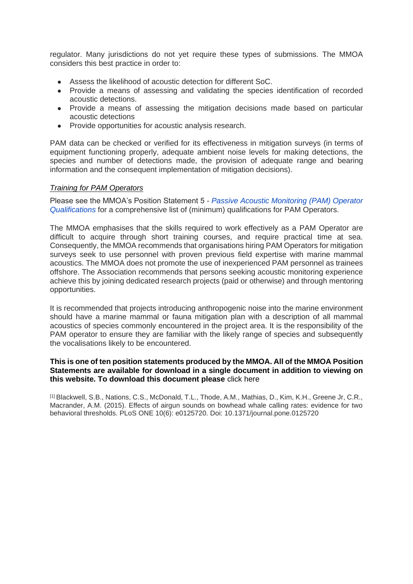regulator. Many jurisdictions do not yet require these types of submissions. The MMOA considers this best practice in order to:

- Assess the likelihood of acoustic detection for different SoC.
- Provide a means of assessing and validating the species identification of recorded acoustic detections.
- Provide a means of assessing the mitigation decisions made based on particular acoustic detections
- Provide opportunities for acoustic analysis research.

PAM data can be checked or verified for its effectiveness in mitigation surveys (in terms of equipment functioning properly, adequate ambient noise levels for making detections, the species and number of detections made, the provision of adequate range and bearing information and the consequent implementation of mitigation decisions).

#### *Training for PAM Operators*

Please see the MMOA's Position Statement 5 - *[Passive Acoustic Monitoring \(PAM\) Operator](https://www.mmo-association.org/component/content/article/3-news-room/113-passive-acoustic-monitoring-pam-operator-qualifications?Itemid=728)  [Qualifications](https://www.mmo-association.org/component/content/article/3-news-room/113-passive-acoustic-monitoring-pam-operator-qualifications?Itemid=728)* for a comprehensive list of (minimum) qualifications for PAM Operators.

The MMOA emphasises that the skills required to work effectively as a PAM Operator are difficult to acquire through short training courses, and require practical time at sea. Consequently, the MMOA recommends that organisations hiring PAM Operators for mitigation surveys seek to use personnel with proven previous field expertise with marine mammal acoustics. The MMOA does not promote the use of inexperienced PAM personnel as trainees offshore. The Association recommends that persons seeking acoustic monitoring experience achieve this by joining dedicated research projects (paid or otherwise) and through mentoring opportunities.

It is recommended that projects introducing anthropogenic noise into the marine environment should have a marine mammal or fauna mitigation plan with a description of all mammal acoustics of species commonly encountered in the project area. It is the responsibility of the PAM operator to ensure they are familiar with the likely range of species and subsequently the vocalisations likely to be encountered.

#### **This is one of ten position statements produced by the MMOA. All of the MMOA Position Statements are available for download in a single document in addition to viewing on this website. To download this document please** [click here](https://www.mmo-association.org/images/pdf/MMOA_Position_Statements__Version_2_Jan2016.pdf)

[1] Blackwell, S.B., Nations, C.S., McDonald, T.L., Thode, A.M., Mathias, D., Kim, K.H., Greene Jr, C.R., Macrander, A.M. (2015). Effects of airgun sounds on bowhead whale calling rates: evidence for two behavioral thresholds. PLoS ONE 10(6): e0125720. Doi: 10.1371/journal.pone.0125720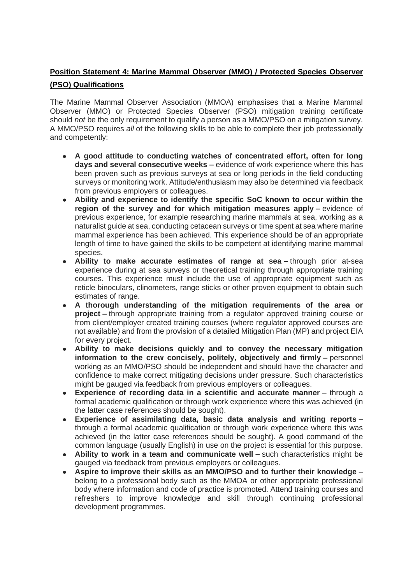# **Position Statement 4: Marine Mammal Observer (MMO) / Protected Species Observer (PSO) Qualifications**

The Marine Mammal Observer Association (MMOA) emphasises that a Marine Mammal Observer (MMO) or Protected Species Observer (PSO) mitigation training certificate should *not* be the only requirement to qualify a person as a MMO/PSO on a mitigation survey. A MMO/PSO requires *all* of the following skills to be able to complete their job professionally and competently:

- **A good attitude to conducting watches of concentrated effort, often for long days and several consecutive weeks –** evidence of work experience where this has been proven such as previous surveys at sea or long periods in the field conducting surveys or monitoring work. Attitude/enthusiasm may also be determined via feedback from previous employers or colleagues.
- **Ability and experience to identify the specific SoC known to occur within the region of the survey and for which mitigation measures apply –** evidence of previous experience, for example researching marine mammals at sea, working as a naturalist guide at sea, conducting cetacean surveys or time spent at sea where marine mammal experience has been achieved. This experience should be of an appropriate length of time to have gained the skills to be competent at identifying marine mammal species.
- **Ability to make accurate estimates of range at sea –** through prior at-sea experience during at sea surveys or theoretical training through appropriate training courses. This experience must include the use of appropriate equipment such as reticle binoculars, clinometers, range sticks or other proven equipment to obtain such estimates of range.
- **A thorough understanding of the mitigation requirements of the area or project –** through appropriate training from a regulator approved training course or from client/employer created training courses (where regulator approved courses are not available) and from the provision of a detailed Mitigation Plan (MP) and project EIA for every project.
- Ability to make decisions quickly and to convey the necessary mitigation **information to the crew concisely, politely, objectively and firmly –** personnel working as an MMO/PSO should be independent and should have the character and confidence to make correct mitigating decisions under pressure. Such characteristics might be gauged via feedback from previous employers or colleagues.
- **Experience of recording data in a scientific and accurate manner** through a formal academic qualification or through work experience where this was achieved (in the latter case references should be sought).
- **Experience of assimilating data, basic data analysis and writing reports** through a formal academic qualification or through work experience where this was achieved (in the latter case references should be sought). A good command of the common language (usually English) in use on the project is essential for this purpose.
- **Ability to work in a team and communicate well –** such characteristics might be gauged via feedback from previous employers or colleagues.
- **Aspire to improve their skills as an MMO/PSO and to further their knowledge** belong to a professional body such as the MMOA or other appropriate professional body where information and code of practice is promoted. Attend training courses and refreshers to improve knowledge and skill through continuing professional development programmes.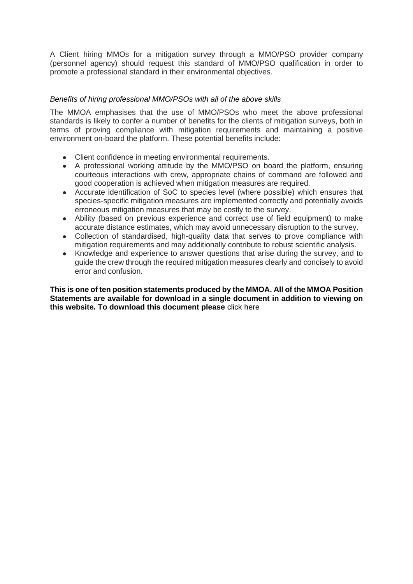A Client hiring MMOs for a mitigation survey through a MMO/PSO provider company (personnel agency) should request this standard of MMO/PSO qualification in order to promote a professional standard in their environmental objectives.

# *Benefits of hiring professional MMO/PSOs with all of the above skills*

The MMOA emphasises that the use of MMO/PSOs who meet the above professional standards is likely to confer a number of benefits for the clients of mitigation surveys, both in terms of proving compliance with mitigation requirements and maintaining a positive environment on-board the platform. These potential benefits include:

- Client confidence in meeting environmental requirements.
- A professional working attitude by the MMO/PSO on board the platform, ensuring courteous interactions with crew, appropriate chains of command are followed and good cooperation is achieved when mitigation measures are required.
- Accurate identification of SoC to species level (where possible) which ensures that species-specific mitigation measures are implemented correctly and potentially avoids erroneous mitigation measures that may be costly to the survey.
- Ability (based on previous experience and correct use of field equipment) to make accurate distance estimates, which may avoid unnecessary disruption to the survey.
- Collection of standardised, high-quality data that serves to prove compliance with mitigation requirements and may additionally contribute to robust scientific analysis.
- Knowledge and experience to answer questions that arise during the survey, and to guide the crew through the required mitigation measures clearly and concisely to avoid error and confusion.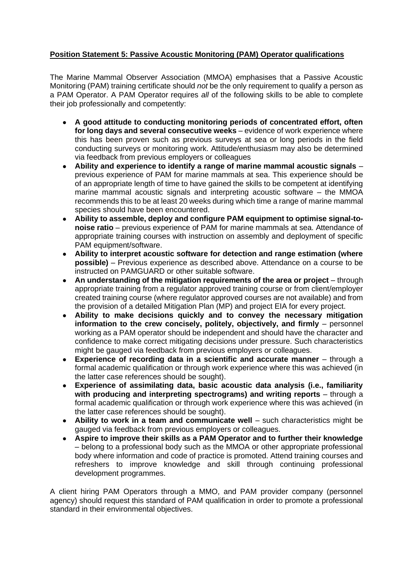# **Position Statement 5: Passive Acoustic Monitoring (PAM) Operator qualifications**

The Marine Mammal Observer Association (MMOA) emphasises that a Passive Acoustic Monitoring (PAM) training certificate should *not* be the only requirement to qualify a person as a PAM Operator. A PAM Operator requires *all* of the following skills to be able to complete their job professionally and competently:

- **A good attitude to conducting monitoring periods of concentrated effort, often for long days and several consecutive weeks** – evidence of work experience where this has been proven such as previous surveys at sea or long periods in the field conducting surveys or monitoring work. Attitude/enthusiasm may also be determined via feedback from previous employers or colleagues
- **Ability and experience to identify a range of marine mammal acoustic signals** previous experience of PAM for marine mammals at sea. This experience should be of an appropriate length of time to have gained the skills to be competent at identifying marine mammal acoustic signals and interpreting acoustic software – the MMOA recommends this to be at least 20 weeks during which time a range of marine mammal species should have been encountered.
- **Ability to assemble, deploy and configure PAM equipment to optimise signal-tonoise ratio** – previous experience of PAM for marine mammals at sea. Attendance of appropriate training courses with instruction on assembly and deployment of specific PAM equipment/software.
- **Ability to interpret acoustic software for detection and range estimation (where possible)** – Previous experience as described above. Attendance on a course to be instructed on PAMGUARD or other suitable software.
- **An understanding of the mitigation requirements of the area or project** through appropriate training from a regulator approved training course or from client/employer created training course (where regulator approved courses are not available) and from the provision of a detailed Mitigation Plan (MP) and project EIA for every project.
- **Ability to make decisions quickly and to convey the necessary mitigation information to the crew concisely, politely, objectively, and firmly** – personnel working as a PAM operator should be independent and should have the character and confidence to make correct mitigating decisions under pressure. Such characteristics might be gauged via feedback from previous employers or colleagues.
- **Experience of recording data in a scientific and accurate manner** through a formal academic qualification or through work experience where this was achieved (in the latter case references should be sought).
- **Experience of assimilating data, basic acoustic data analysis (i.e., familiarity with producing and interpreting spectrograms) and writing reports** – through a formal academic qualification or through work experience where this was achieved (in the latter case references should be sought).
- **Ability to work in a team and communicate well** such characteristics might be gauged via feedback from previous employers or colleagues.
- **Aspire to improve their skills as a PAM Operator and to further their knowledge** – belong to a professional body such as the MMOA or other appropriate professional body where information and code of practice is promoted. Attend training courses and refreshers to improve knowledge and skill through continuing professional development programmes.

A client hiring PAM Operators through a MMO, and PAM provider company (personnel agency) should request this standard of PAM qualification in order to promote a professional standard in their environmental objectives.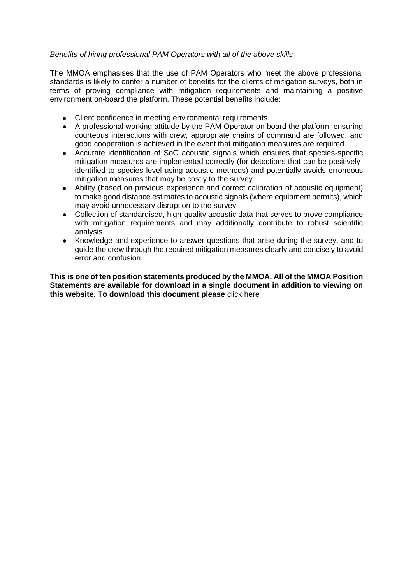# *Benefits of hiring professional PAM Operators with all of the above skills*

The MMOA emphasises that the use of PAM Operators who meet the above professional standards is likely to confer a number of benefits for the clients of mitigation surveys, both in terms of proving compliance with mitigation requirements and maintaining a positive environment on-board the platform. These potential benefits include:

- Client confidence in meeting environmental requirements.
- A professional working attitude by the PAM Operator on board the platform, ensuring courteous interactions with crew, appropriate chains of command are followed, and good cooperation is achieved in the event that mitigation measures are required.
- Accurate identification of SoC acoustic signals which ensures that species-specific mitigation measures are implemented correctly (for detections that can be positivelyidentified to species level using acoustic methods) and potentially avoids erroneous mitigation measures that may be costly to the survey.
- Ability (based on previous experience and correct calibration of acoustic equipment) to make good distance estimates to acoustic signals (where equipment permits), which may avoid unnecessary disruption to the survey.
- Collection of standardised, high-quality acoustic data that serves to prove compliance with mitigation requirements and may additionally contribute to robust scientific analysis.
- Knowledge and experience to answer questions that arise during the survey, and to guide the crew through the required mitigation measures clearly and concisely to avoid error and confusion.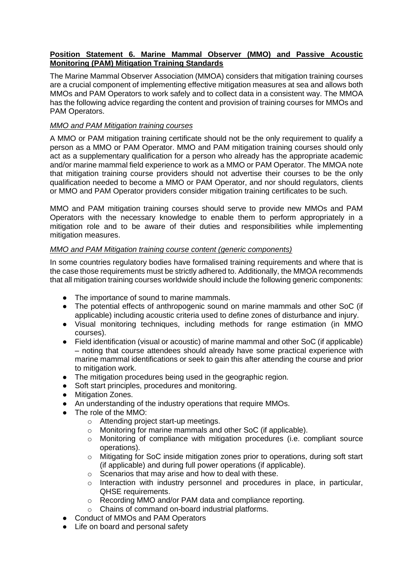## **Position Statement 6. Marine Mammal Observer (MMO) and Passive Acoustic Monitoring (PAM) Mitigation Training Standards**

The Marine Mammal Observer Association (MMOA) considers that mitigation training courses are a crucial component of implementing effective mitigation measures at sea and allows both MMOs and PAM Operators to work safely and to collect data in a consistent way. The MMOA has the following advice regarding the content and provision of training courses for MMOs and PAM Operators.

## *MMO and PAM Mitigation training courses*

A MMO or PAM mitigation training certificate should not be the only requirement to qualify a person as a MMO or PAM Operator. MMO and PAM mitigation training courses should only act as a supplementary qualification for a person who already has the appropriate academic and/or marine mammal field experience to work as a MMO or PAM Operator. The MMOA note that mitigation training course providers should not advertise their courses to be the only qualification needed to become a MMO or PAM Operator, and nor should regulators, clients or MMO and PAM Operator providers consider mitigation training certificates to be such.

MMO and PAM mitigation training courses should serve to provide new MMOs and PAM Operators with the necessary knowledge to enable them to perform appropriately in a mitigation role and to be aware of their duties and responsibilities while implementing mitigation measures.

## *MMO and PAM Mitigation training course content (generic components)*

In some countries regulatory bodies have formalised training requirements and where that is the case those requirements must be strictly adhered to. Additionally, the MMOA recommends that all mitigation training courses worldwide should include the following generic components:

- The importance of sound to marine mammals.
- The potential effects of anthropogenic sound on marine mammals and other SoC (if applicable) including acoustic criteria used to define zones of disturbance and injury.
- Visual monitoring techniques, including methods for range estimation (in MMO courses).
- Field identification (visual or acoustic) of marine mammal and other SoC (if applicable) – noting that course attendees should already have some practical experience with marine mammal identifications or seek to gain this after attending the course and prior to mitigation work.
- The mitigation procedures being used in the geographic region.
- Soft start principles, procedures and monitoring.
- Mitigation Zones.
- An understanding of the industry operations that require MMOs.
- The role of the MMO:
	- o Attending project start-up meetings.
	- o Monitoring for marine mammals and other SoC (if applicable).
	- $\circ$  Monitoring of compliance with mitigation procedures (i.e. compliant source operations).
	- o Mitigating for SoC inside mitigation zones prior to operations, during soft start (if applicable) and during full power operations (if applicable).
	- o Scenarios that may arise and how to deal with these.
	- o Interaction with industry personnel and procedures in place, in particular, QHSE requirements.
	- o Recording MMO and/or PAM data and compliance reporting.
	- o Chains of command on-board industrial platforms.
- Conduct of MMOs and PAM Operators
- Life on board and personal safety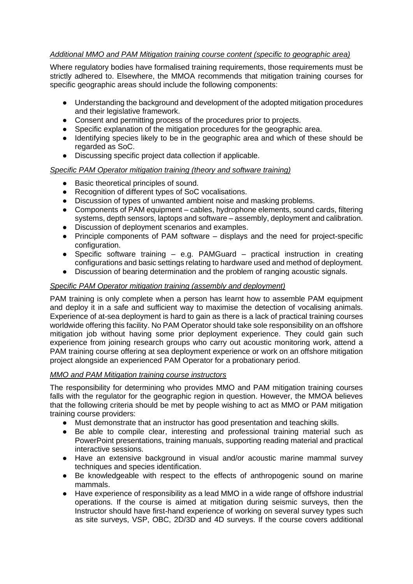# *Additional MMO and PAM Mitigation training course content (specific to geographic area)*

Where regulatory bodies have formalised training requirements, those requirements must be strictly adhered to. Elsewhere, the MMOA recommends that mitigation training courses for specific geographic areas should include the following components:

- Understanding the background and development of the adopted mitigation procedures and their legislative framework.
- Consent and permitting process of the procedures prior to projects.
- Specific explanation of the mitigation procedures for the geographic area.
- Identifying species likely to be in the geographic area and which of these should be regarded as SoC.
- Discussing specific project data collection if applicable.

## *Specific PAM Operator mitigation training (theory and software training)*

- Basic theoretical principles of sound.
- Recognition of different types of SoC vocalisations.
- Discussion of types of unwanted ambient noise and masking problems.
- Components of PAM equipment cables, hydrophone elements, sound cards, filtering systems, depth sensors, laptops and software – assembly, deployment and calibration.
- Discussion of deployment scenarios and examples.
- Principle components of PAM software displays and the need for project-specific configuration.
- Specific software training e.g. PAMGuard practical instruction in creating configurations and basic settings relating to hardware used and method of deployment.
- Discussion of bearing determination and the problem of ranging acoustic signals.

## *Specific PAM Operator mitigation training (assembly and deployment)*

PAM training is only complete when a person has learnt how to assemble PAM equipment and deploy it in a safe and sufficient way to maximise the detection of vocalising animals. Experience of at-sea deployment is hard to gain as there is a lack of practical training courses worldwide offering this facility. No PAM Operator should take sole responsibility on an offshore mitigation job without having some prior deployment experience. They could gain such experience from joining research groups who carry out acoustic monitoring work, attend a PAM training course offering at sea deployment experience or work on an offshore mitigation project alongside an experienced PAM Operator for a probationary period.

## *MMO and PAM Mitigation training course instructors*

The responsibility for determining who provides MMO and PAM mitigation training courses falls with the regulator for the geographic region in question. However, the MMOA believes that the following criteria should be met by people wishing to act as MMO or PAM mitigation training course providers:

- Must demonstrate that an instructor has good presentation and teaching skills.
- Be able to compile clear, interesting and professional training material such as PowerPoint presentations, training manuals, supporting reading material and practical interactive sessions.
- Have an extensive background in visual and/or acoustic marine mammal survey techniques and species identification.
- Be knowledgeable with respect to the effects of anthropogenic sound on marine mammals.
- Have experience of responsibility as a lead MMO in a wide range of offshore industrial operations. If the course is aimed at mitigation during seismic surveys, then the Instructor should have first-hand experience of working on several survey types such as site surveys, VSP, OBC, 2D/3D and 4D surveys. If the course covers additional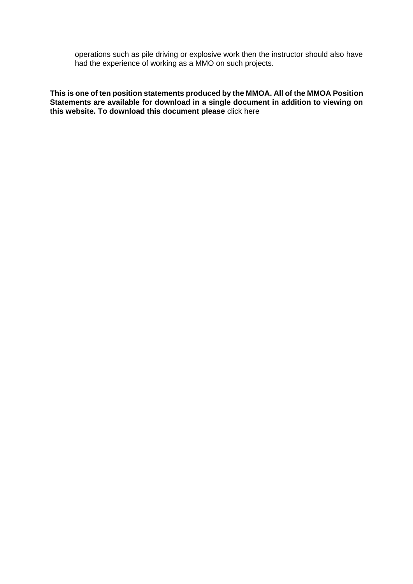operations such as pile driving or explosive work then the instructor should also have had the experience of working as a MMO on such projects.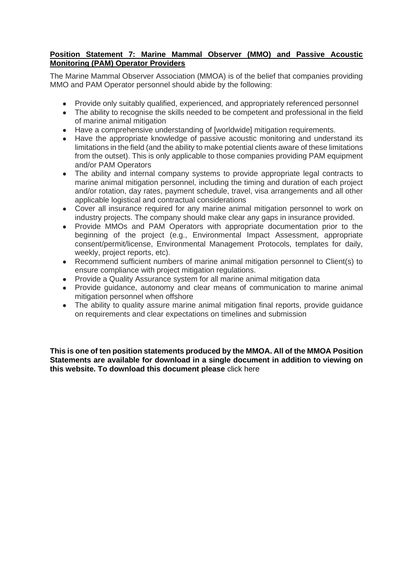# **Position Statement 7: Marine Mammal Observer (MMO) and Passive Acoustic Monitoring (PAM) Operator Providers**

The Marine Mammal Observer Association (MMOA) is of the belief that companies providing MMO and PAM Operator personnel should abide by the following:

- Provide only suitably qualified, experienced, and appropriately referenced personnel
- The ability to recognise the skills needed to be competent and professional in the field of marine animal mitigation
- Have a comprehensive understanding of [worldwide] mitigation requirements.
- Have the appropriate knowledge of passive acoustic monitoring and understand its limitations in the field (and the ability to make potential clients aware of these limitations from the outset). This is only applicable to those companies providing PAM equipment and/or PAM Operators
- The ability and internal company systems to provide appropriate legal contracts to marine animal mitigation personnel, including the timing and duration of each project and/or rotation, day rates, payment schedule, travel, visa arrangements and all other applicable logistical and contractual considerations
- Cover all insurance required for any marine animal mitigation personnel to work on industry projects. The company should make clear any gaps in insurance provided.
- Provide MMOs and PAM Operators with appropriate documentation prior to the beginning of the project (e.g., Environmental Impact Assessment, appropriate consent/permit/license, Environmental Management Protocols, templates for daily, weekly, project reports, etc).
- Recommend sufficient numbers of marine animal mitigation personnel to Client(s) to ensure compliance with project mitigation regulations.
- Provide a Quality Assurance system for all marine animal mitigation data
- Provide guidance, autonomy and clear means of communication to marine animal mitigation personnel when offshore
- The ability to quality assure marine animal mitigation final reports, provide quidance on requirements and clear expectations on timelines and submission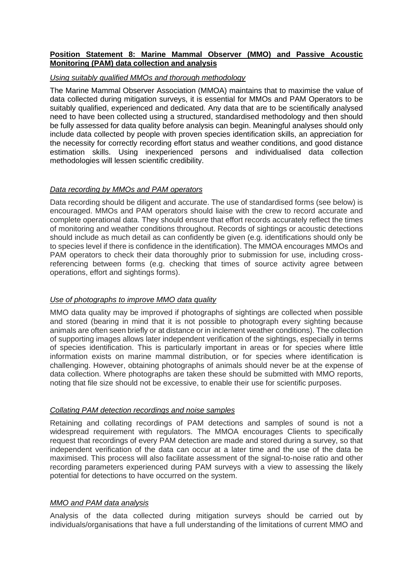## **Position Statement 8: Marine Mammal Observer (MMO) and Passive Acoustic Monitoring (PAM) data collection and analysis**

#### *Using suitably qualified MMOs and thorough methodology*

The Marine Mammal Observer Association (MMOA) maintains that to maximise the value of data collected during mitigation surveys, it is essential for MMOs and PAM Operators to be suitably qualified, experienced and dedicated. Any data that are to be scientifically analysed need to have been collected using a structured, standardised methodology and then should be fully assessed for data quality before analysis can begin. Meaningful analyses should only include data collected by people with proven species identification skills, an appreciation for the necessity for correctly recording effort status and weather conditions, and good distance estimation skills. Using inexperienced persons and individualised data collection methodologies will lessen scientific credibility.

## *Data recording by MMOs and PAM operators*

Data recording should be diligent and accurate. The use of standardised forms (see below) is encouraged. MMOs and PAM operators should liaise with the crew to record accurate and complete operational data. They should ensure that effort records accurately reflect the times of monitoring and weather conditions throughout. Records of sightings or acoustic detections should include as much detail as can confidently be given (e.g. identifications should only be to species level if there is confidence in the identification). The MMOA encourages MMOs and PAM operators to check their data thoroughly prior to submission for use, including crossreferencing between forms (e.g. checking that times of source activity agree between operations, effort and sightings forms).

#### *Use of photographs to improve MMO data quality*

MMO data quality may be improved if photographs of sightings are collected when possible and stored (bearing in mind that it is not possible to photograph every sighting because animals are often seen briefly or at distance or in inclement weather conditions). The collection of supporting images allows later independent verification of the sightings, especially in terms of species identification. This is particularly important in areas or for species where little information exists on marine mammal distribution, or for species where identification is challenging. However, obtaining photographs of animals should never be at the expense of data collection. Where photographs are taken these should be submitted with MMO reports, noting that file size should not be excessive, to enable their use for scientific purposes.

## *Collating PAM detection recordings and noise samples*

Retaining and collating recordings of PAM detections and samples of sound is not a widespread requirement with regulators. The MMOA encourages Clients to specifically request that recordings of every PAM detection are made and stored during a survey, so that independent verification of the data can occur at a later time and the use of the data be maximised. This process will also facilitate assessment of the signal-to-noise ratio and other recording parameters experienced during PAM surveys with a view to assessing the likely potential for detections to have occurred on the system.

# *MMO and PAM data analysis*

Analysis of the data collected during mitigation surveys should be carried out by individuals/organisations that have a full understanding of the limitations of current MMO and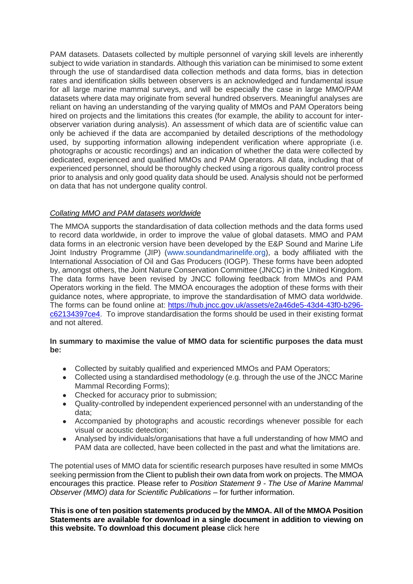PAM datasets. Datasets collected by multiple personnel of varying skill levels are inherently subject to wide variation in standards. Although this variation can be minimised to some extent through the use of standardised data collection methods and data forms, bias in detection rates and identification skills between observers is an acknowledged and fundamental issue for all large marine mammal surveys, and will be especially the case in large MMO/PAM datasets where data may originate from several hundred observers. Meaningful analyses are reliant on having an understanding of the varying quality of MMOs and PAM Operators being hired on projects and the limitations this creates (for example, the ability to account for interobserver variation during analysis). An assessment of which data are of scientific value can only be achieved if the data are accompanied by detailed descriptions of the methodology used, by supporting information allowing independent verification where appropriate (i.e. photographs or acoustic recordings) and an indication of whether the data were collected by dedicated, experienced and qualified MMOs and PAM Operators. All data, including that of experienced personnel, should be thoroughly checked using a rigorous quality control process prior to analysis and only good quality data should be used. Analysis should not be performed on data that has not undergone quality control.

# *Collating MMO and PAM datasets worldwide*

The MMOA supports the standardisation of data collection methods and the data forms used to record data worldwide, in order to improve the value of global datasets. MMO and PAM data forms in an electronic version have been developed by the E&P Sound and Marine Life Joint Industry Programme (JIP) [\(www.soundandmarinelife.org\)](http://www.soundandmarinelife.org/), a body affiliated with the International Association of Oil and Gas Producers (IOGP). These forms have been adopted by, amongst others, the Joint Nature Conservation Committee (JNCC) in the United Kingdom. The data forms have been revised by JNCC following feedback from MMOs and PAM Operators working in the field. The MMOA encourages the adoption of these forms with their guidance notes, where appropriate, to improve the standardisation of MMO data worldwide. The forms can be found online at: [https://hub.jncc.gov.uk/assets/e2a46de5-43d4-43f0-b296](https://hub.jncc.gov.uk/assets/e2a46de5-43d4-43f0-b296-c62134397ce4) [c62134397ce4.](https://hub.jncc.gov.uk/assets/e2a46de5-43d4-43f0-b296-c62134397ce4) To improve standardisation the forms should be used in their existing format and not altered.

## **In summary to maximise the value of MMO data for scientific purposes the data must be:**

- Collected by suitably qualified and experienced MMOs and PAM Operators;
- Collected using a standardised methodology (e.g. through the use of the JNCC Marine Mammal Recording Forms);
- Checked for accuracy prior to submission:
- Quality-controlled by independent experienced personnel with an understanding of the data;
- Accompanied by photographs and acoustic recordings whenever possible for each visual or acoustic detection;
- Analysed by individuals/organisations that have a full understanding of how MMO and PAM data are collected, have been collected in the past and what the limitations are.

The potential uses of MMO data for scientific research purposes have resulted in some MMOs seeking permission from the Client to publish their own data from work on projects. The MMOA encourages this practice. Please refer to *Position Statement 9 - The [Use of Marine Mammal](https://mmo-association.org/mmoa-activities/position-statements?id=117)  [Observer \(MMO\) data for Scientific Publications](https://mmo-association.org/mmoa-activities/position-statements?id=117)* – for further information.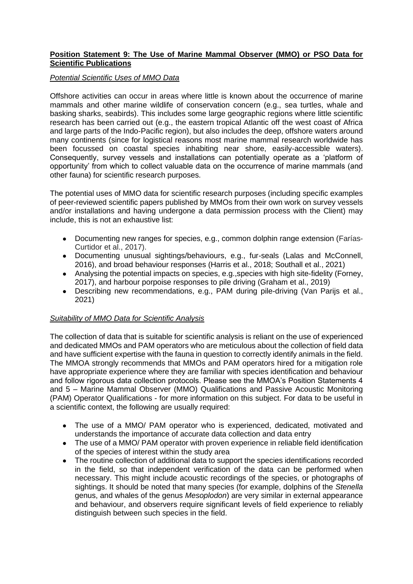## **Position Statement 9: The Use of Marine Mammal Observer (MMO) or PSO Data for Scientific Publications**

#### *Potential Scientific Uses of MMO Data*

Offshore activities can occur in areas where little is known about the occurrence of marine mammals and other marine wildlife of conservation concern (e.g., sea turtles, whale and basking sharks, seabirds). This includes some large geographic regions where little scientific research has been carried out (e.g., the eastern tropical Atlantic off the west coast of Africa and large parts of the Indo-Pacific region), but also includes the deep, offshore waters around many continents (since for logistical reasons most marine mammal research worldwide has been focussed on coastal species inhabiting near shore, easily-accessible waters). Consequently, survey vessels and installations can potentially operate as a 'platform of opportunity' from which to collect valuable data on the occurrence of marine mammals (and other fauna) for scientific research purposes.

The potential uses of MMO data for scientific research purposes (including specific examples of peer-reviewed scientific papers published by MMOs from their own work on survey vessels and/or installations and having undergone a data permission process with the Client) may include, this is not an exhaustive list:

- Documenting new ranges for species, e.g., common dolphin range extension (Farías-Curtidor et al., 2017).
- Documenting unusual sightings/behaviours, e.g., fur-seals (Lalas and McConnell, 2016), and broad behaviour responses (Harris et al., 2018; Southall et al., 2021)
- Analysing the potential impacts on species, e.g., species with high site-fidelity (Forney, 2017), and harbour porpoise responses to pile driving (Graham et al., 2019)
- Describing new recommendations, e.g., PAM during pile-driving (Van Parijs et al., 2021)

## *Suitability of MMO Data for Scientific Analysis*

The collection of data that is suitable for scientific analysis is reliant on the use of experienced and dedicated MMOs and PAM operators who are meticulous about the collection of field data and have sufficient expertise with the fauna in question to correctly identify animals in the field. The MMOA strongly recommends that MMOs and PAM operators hired for a mitigation role have appropriate experience where they are familiar with species identification and behaviour and follow rigorous data collection protocols. Please see the MMOA's Position Statements 4 and 5 – Marine Mammal Observer (MMO) Qualifications and Passive Acoustic Monitoring (PAM) Operator Qualifications - for more information on this subject. For data to be useful in a scientific context, the following are usually required:

- The use of a MMO/ PAM operator who is experienced, dedicated, motivated and understands the importance of accurate data collection and data entry
- The use of a MMO/ PAM operator with proven experience in reliable field identification of the species of interest within the study area
- The routine collection of additional data to support the species identifications recorded in the field, so that independent verification of the data can be performed when necessary. This might include acoustic recordings of the species, or photographs of sightings. It should be noted that many species (for example, dolphins of the *Stenella* genus, and whales of the genus *Mesoplodon*) are very similar in external appearance and behaviour, and observers require significant levels of field experience to reliably distinguish between such species in the field.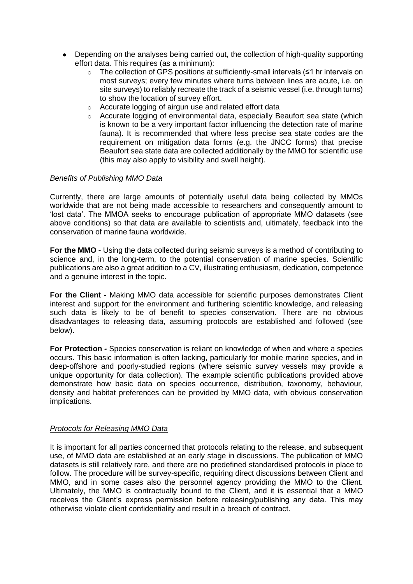- Depending on the analyses being carried out, the collection of high-quality supporting effort data. This requires (as a minimum):
	- o The collection of GPS positions at sufficiently-small intervals (≤1 hr intervals on most surveys; every few minutes where turns between lines are acute, i.e. on site surveys) to reliably recreate the track of a seismic vessel (i.e. through turns) to show the location of survey effort.
	- o Accurate logging of airgun use and related effort data
	- o Accurate logging of environmental data, especially Beaufort sea state (which is known to be a very important factor influencing the detection rate of marine fauna). It is recommended that where less precise sea state codes are the requirement on mitigation data forms (e.g. the JNCC forms) that precise Beaufort sea state data are collected additionally by the MMO for scientific use (this may also apply to visibility and swell height).

#### *Benefits of Publishing MMO Data*

Currently, there are large amounts of potentially useful data being collected by MMOs worldwide that are not being made accessible to researchers and consequently amount to 'lost data'. The MMOA seeks to encourage publication of appropriate MMO datasets (see above conditions) so that data are available to scientists and, ultimately, feedback into the conservation of marine fauna worldwide.

**For the MMO -** Using the data collected during seismic surveys is a method of contributing to science and, in the long-term, to the potential conservation of marine species. Scientific publications are also a great addition to a CV, illustrating enthusiasm, dedication, competence and a genuine interest in the topic.

**For the Client -** Making MMO data accessible for scientific purposes demonstrates Client interest and support for the environment and furthering scientific knowledge, and releasing such data is likely to be of benefit to species conservation. There are no obvious disadvantages to releasing data, assuming protocols are established and followed (see below).

**For Protection** *-* Species conservation is reliant on knowledge of when and where a species occurs. This basic information is often lacking, particularly for mobile marine species, and in deep-offshore and poorly-studied regions (where seismic survey vessels may provide a unique opportunity for data collection). The example scientific publications provided above demonstrate how basic data on species occurrence, distribution, taxonomy, behaviour, density and habitat preferences can be provided by MMO data, with obvious conservation implications.

## *Protocols for Releasing MMO Data*

It is important for all parties concerned that protocols relating to the release, and subsequent use, of MMO data are established at an early stage in discussions. The publication of MMO datasets is still relatively rare, and there are no predefined standardised protocols in place to follow. The procedure will be survey-specific, requiring direct discussions between Client and MMO, and in some cases also the personnel agency providing the MMO to the Client. Ultimately, the MMO is contractually bound to the Client, and it is essential that a MMO receives the Client's express permission before releasing/publishing any data. This may otherwise violate client confidentiality and result in a breach of contract.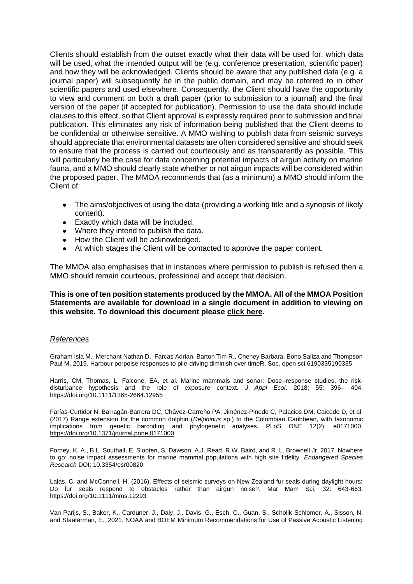Clients should establish from the outset exactly what their data will be used for, which data will be used, what the intended output will be (e.g. conference presentation, scientific paper) and how they will be acknowledged. Clients should be aware that any published data (e.g. a journal paper) will subsequently be in the public domain, and may be referred to in other scientific papers and used elsewhere. Consequently, the Client should have the opportunity to view and comment on both a draft paper (prior to submission to a journal) and the final version of the paper (if accepted for publication). Permission to use the data should include clauses to this effect, so that Client approval is expressly required prior to submission and final publication. This eliminates any risk of information being published that the Client deems to be confidential or otherwise sensitive. A MMO wishing to publish data from seismic surveys should appreciate that environmental datasets are often considered sensitive and should seek to ensure that the process is carried out courteously and as transparently as possible. This will particularly be the case for data concerning potential impacts of airgun activity on marine fauna, and a MMO should clearly state whether or not airgun impacts will be considered within the proposed paper. The MMOA recommends that (as a minimum) a MMO should inform the Client of:

- The aims/objectives of using the data (providing a working title and a synopsis of likely content).
- Exactly which data will be included.
- Where they intend to publish the data.
- How the Client will be acknowledged.
- At which stages the Client will be contacted to approve the paper content.

The MMOA also emphasises that in instances where permission to publish is refused then a MMO should remain courteous, professional and accept that decision.

#### **This is one of ten position statements produced by the MMOA. All of the MMOA Position Statements are available for download in a single document in addition to viewing on this website. To download this document please [click here.](https://mmo-association.org/images/pdf/MMOA_Position_Statements__Version_2_Jan2016.pdf)**

#### *References*

Graham Isla M., Merchant Nathan D., Farcas Adrian, Barton Tim R., Cheney Barbara, Bono Saliza and Thompson Paul M. 2019. Harbour porpoise responses to pile-driving diminish over timeR. Soc. open sci.6190335190335

Harris, CM, Thomas, L, Falcone, EA, et al. Marine mammals and sonar: Dose–response studies, the riskdisturbance hypothesis and the role of exposure context. *J Appl Ecol*. 2018; 55: 396– 404. <https://doi.org/10.1111/1365-2664.12955>

Farías-Curtidor N, Barragán-Barrera DC, Chávez-Carreño PA, Jiménez-Pinedo C, Palacios DM, Caicedo D, et al. (2017) Range extension for the common dolphin (*Delphinus* sp.) to the Colombian Caribbean, with taxonomic implications from genetic barcoding and phylogenetic analyses. PLoS ONE 12(2): e0171000. <https://doi.org/10.1371/journal.pone.0171000>

Forney, K. A., B.L. Southall, E. Slooten, S. Dawson, A.J. Read, R.W. Baird, and R. L. Brownell Jr. 2017. Nowhere to go: noise impact assessments for marine mammal populations with high site fidelity. *Endangered Species Research* DOI: 10.3354/esr00820

Lalas, C. and McConnell, H. (2016), Effects of seismic surveys on New Zealand fur seals during daylight hours: Do fur seals respond to obstacles rather than airgun noise?. Mar Mam Sci, 32: 643-663. <https://doi.org/10.1111/mms.12293>

Van Parijs, S., Baker, K., Carduner, J., Daly, J., Davis, G., Esch, C., Guan, S., Scholik-Schlomer, A., Sisson, N. and Staaterman, E., 2021. NOAA and BOEM Minimum Recommendations for Use of Passive Acoustic Listening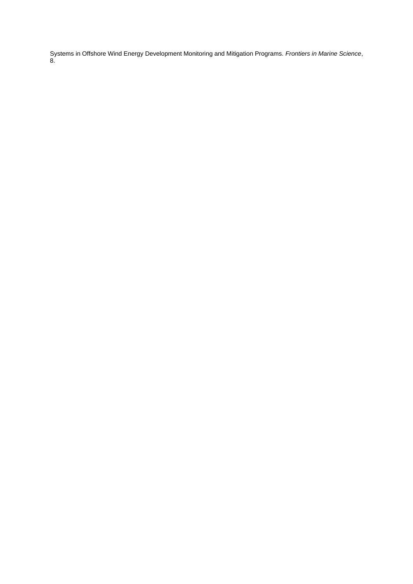Systems in Offshore Wind Energy Development Monitoring and Mitigation Programs. *Frontiers in Marine Science*, 8.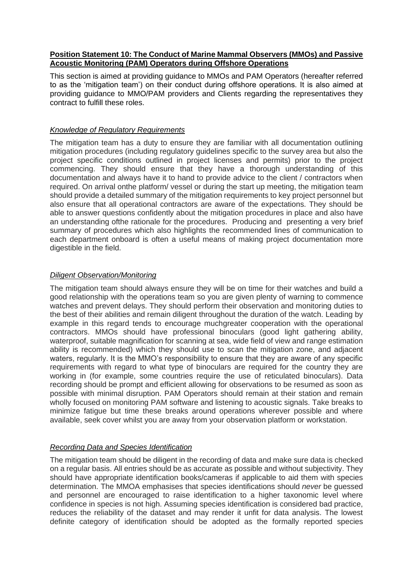## **Position Statement 10: The Conduct of Marine Mammal Observers (MMOs) and Passive Acoustic Monitoring (PAM) Operators during Offshore Operations**

This section is aimed at providing guidance to MMOs and PAM Operators (hereafter referred to as the 'mitigation team') on their conduct during offshore operations. It is also aimed at providing guidance to MMO/PAM providers and Clients regarding the representatives they contract to fulfill these roles.

## *Knowledge of Regulatory Requirements*

The mitigation team has a duty to ensure they are familiar with all documentation outlining mitigation procedures (including regulatory guidelines specific to the survey area but also the project specific conditions outlined in project licenses and permits) prior to the project commencing. They should ensure that they have a thorough understanding of this documentation and always have it to hand to provide advice to the client / contractors when required. On arrival onthe platform/ vessel or during the start up meeting, the mitigation team should provide a detailed summary of the mitigation requirements to key project personnel but also ensure that all operational contractors are aware of the expectations. They should be able to answer questions confidently about the mitigation procedures in place and also have an understanding ofthe rationale for the procedures. Producing and presenting a very brief summary of procedures which also highlights the recommended lines of communication to each department onboard is often a useful means of making project documentation more digestible in the field.

#### *Diligent Observation/Monitoring*

The mitigation team should always ensure they will be on time for their watches and build a good relationship with the operations team so you are given plenty of warning to commence watches and prevent delays. They should perform their observation and monitoring duties to the best of their abilities and remain diligent throughout the duration of the watch. Leading by example in this regard tends to encourage muchgreater cooperation with the operational contractors. MMOs should have professional binoculars (good light gathering ability, waterproof, suitable magnification for scanning at sea, wide field of view and range estimation ability is recommended) which they should use to scan the mitigation zone, and adjacent waters, regularly. It is the MMO's responsibility to ensure that they are aware of any specific requirements with regard to what type of binoculars are required for the country they are working in (for example, some countries require the use of reticulated binoculars). Data recording should be prompt and efficient allowing for observations to be resumed as soon as possible with minimal disruption. PAM Operators should remain at their station and remain wholly focused on monitoring PAM software and listening to acoustic signals. Take breaks to minimize fatigue but time these breaks around operations wherever possible and where available, seek cover whilst you are away from your observation platform or workstation.

## *Recording Data and Species Identification*

The mitigation team should be diligent in the recording of data and make sure data is checked on a regular basis. All entries should be as accurate as possible and without subjectivity. They should have appropriate identification books/cameras if applicable to aid them with species determination. The MMOA emphasises that species identifications should *never* be guessed and personnel are encouraged to raise identification to a higher taxonomic level where confidence in species is not high. Assuming species identification is considered bad practice, reduces the reliability of the dataset and may render it unfit for data analysis. The lowest definite category of identification should be adopted as the formally reported species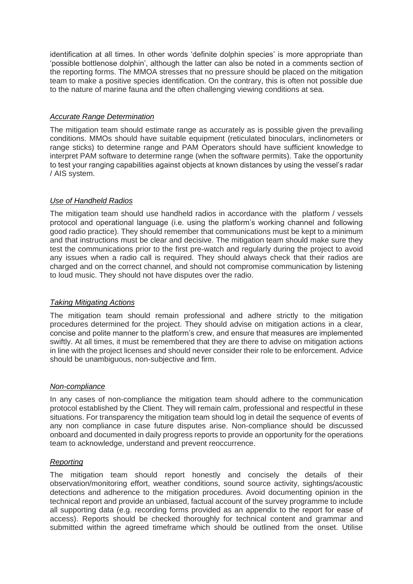identification at all times. In other words 'definite dolphin species' is more appropriate than 'possible bottlenose dolphin', although the latter can also be noted in a comments section of the reporting forms. The MMOA stresses that no pressure should be placed on the mitigation team to make a positive species identification. On the contrary, this is often not possible due to the nature of marine fauna and the often challenging viewing conditions at sea.

## *Accurate Range Determination*

The mitigation team should estimate range as accurately as is possible given the prevailing conditions. MMOs should have suitable equipment (reticulated binoculars, inclinometers or range sticks) to determine range and PAM Operators should have sufficient knowledge to interpret PAM software to determine range (when the software permits). Take the opportunity to test your ranging capabilities against objects at known distances by using the vessel's radar / AIS system.

## *Use of Handheld Radios*

The mitigation team should use handheld radios in accordance with the platform / vessels protocol and operational language (i.e. using the platform's working channel and following good radio practice). They should remember that communications must be kept to a minimum and that instructions must be clear and decisive. The mitigation team should make sure they test the communications prior to the first pre-watch and regularly during the project to avoid any issues when a radio call is required. They should always check that their radios are charged and on the correct channel, and should not compromise communication by listening to loud music. They should not have disputes over the radio.

## *Taking Mitigating Actions*

The mitigation team should remain professional and adhere strictly to the mitigation procedures determined for the project. They should advise on mitigation actions in a clear, concise and polite manner to the platform's crew, and ensure that measures are implemented swiftly. At all times, it must be remembered that they are there to advise on mitigation actions in line with the project licenses and should never consider their role to be enforcement. Advice should be unambiguous, non-subjective and firm.

#### *Non-compliance*

In any cases of non-compliance the mitigation team should adhere to the communication protocol established by the Client. They will remain calm, professional and respectful in these situations. For transparency the mitigation team should log in detail the sequence of events of any non compliance in case future disputes arise. Non-compliance should be discussed onboard and documented in daily progress reports to provide an opportunity for the operations team to acknowledge, understand and prevent reoccurrence.

## *Reporting*

The mitigation team should report honestly and concisely the details of their observation/monitoring effort, weather conditions, sound source activity, sightings/acoustic detections and adherence to the mitigation procedures. Avoid documenting opinion in the technical report and provide an unbiased, factual account of the survey programme to include all supporting data (e.g. recording forms provided as an appendix to the report for ease of access). Reports should be checked thoroughly for technical content and grammar and submitted within the agreed timeframe which should be outlined from the onset. Utilise